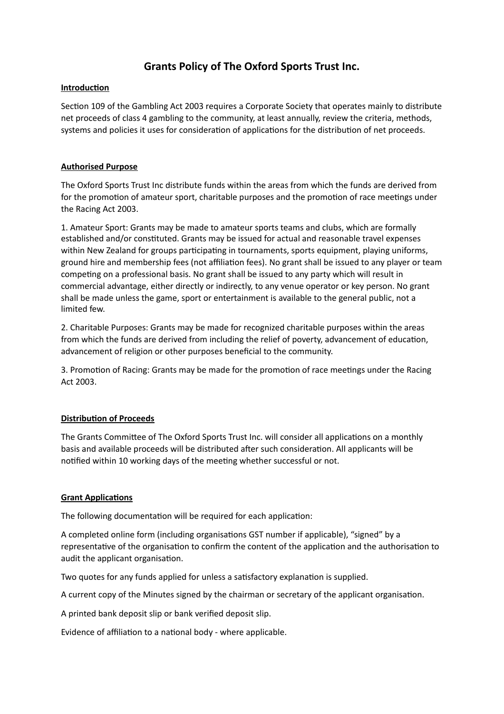# **Grants Policy of The Oxford Sports Trust Inc.**

### **Introduction**

Section 109 of the Gambling Act 2003 requires a Corporate Society that operates mainly to distribute net proceeds of class 4 gambling to the community, at least annually, review the criteria, methods, systems and policies it uses for consideration of applications for the distribution of net proceeds.

## **Authorised Purpose**

The Oxford Sports Trust Inc distribute funds within the areas from which the funds are derived from for the promotion of amateur sport, charitable purposes and the promotion of race meetings under the Racing Act 2003.

1. Amateur Sport: Grants may be made to amateur sports teams and clubs, which are formally established and/or constituted. Grants may be issued for actual and reasonable travel expenses within New Zealand for groups participating in tournaments, sports equipment, playing uniforms, ground hire and membership fees (not affiliation fees). No grant shall be issued to any player or team competing on a professional basis. No grant shall be issued to any party which will result in commercial advantage, either directly or indirectly, to any venue operator or key person. No grant shall be made unless the game, sport or entertainment is available to the general public, not a limited few.

2. Charitable Purposes: Grants may be made for recognized charitable purposes within the areas from which the funds are derived from including the relief of poverty, advancement of education, advancement of religion or other purposes beneficial to the community.

3. Promotion of Racing: Grants may be made for the promotion of race meetings under the Racing Act 2003.

## **Distribution of Proceeds**

The Grants Committee of The Oxford Sports Trust Inc. will consider all applications on a monthly basis and available proceeds will be distributed after such consideration. All applicants will be notified within 10 working days of the meeting whether successful or not.

#### **Grant Applications**

The following documentation will be required for each application:

A completed online form (including organisations GST number if applicable), "signed" by a representative of the organisation to confirm the content of the application and the authorisation to audit the applicant organisation.

Two quotes for any funds applied for unless a satisfactory explanation is supplied.

A current copy of the Minutes signed by the chairman or secretary of the applicant organisation.

A printed bank deposit slip or bank verified deposit slip.

Evidence of affiliation to a national body - where applicable.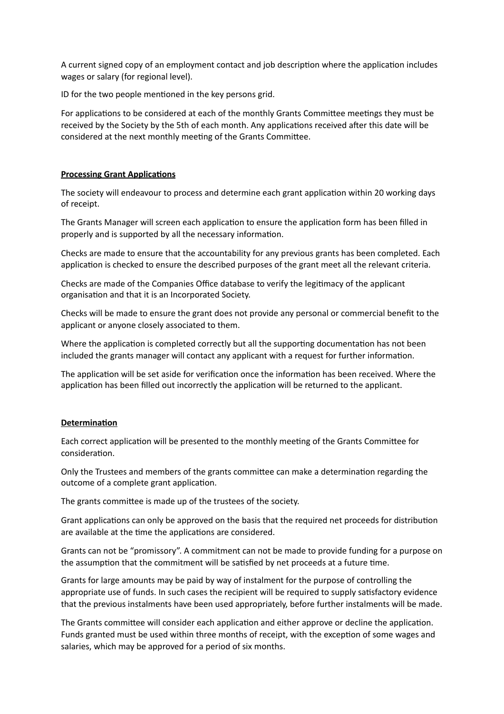A current signed copy of an employment contact and job description where the application includes wages or salary (for regional level).

ID for the two people mentioned in the key persons grid.

For applications to be considered at each of the monthly Grants Committee meetings they must be received by the Society by the 5th of each month. Any applications received after this date will be considered at the next monthly meeting of the Grants Committee.

### **Processing Grant Applications**

The society will endeavour to process and determine each grant application within 20 working days of receipt.

The Grants Manager will screen each application to ensure the application form has been filled in properly and is supported by all the necessary information.

Checks are made to ensure that the accountability for any previous grants has been completed. Each application is checked to ensure the described purposes of the grant meet all the relevant criteria.

Checks are made of the Companies Office database to verify the legitimacy of the applicant organisation and that it is an Incorporated Society.

Checks will be made to ensure the grant does not provide any personal or commercial benefit to the applicant or anyone closely associated to them.

Where the application is completed correctly but all the supporting documentation has not been included the grants manager will contact any applicant with a request for further information.

The application will be set aside for verification once the information has been received. Where the application has been filled out incorrectly the application will be returned to the applicant.

## **Determination**

Each correct application will be presented to the monthly meeting of the Grants Committee for consideration.

Only the Trustees and members of the grants committee can make a determination regarding the outcome of a complete grant application.

The grants committee is made up of the trustees of the society.

Grant applications can only be approved on the basis that the required net proceeds for distribution are available at the time the applications are considered.

Grants can not be "promissory". A commitment can not be made to provide funding for a purpose on the assumption that the commitment will be satisfied by net proceeds at a future time.

Grants for large amounts may be paid by way of instalment for the purpose of controlling the appropriate use of funds. In such cases the recipient will be required to supply satisfactory evidence that the previous instalments have been used appropriately, before further instalments will be made.

The Grants committee will consider each application and either approve or decline the application. Funds granted must be used within three months of receipt, with the exception of some wages and salaries, which may be approved for a period of six months.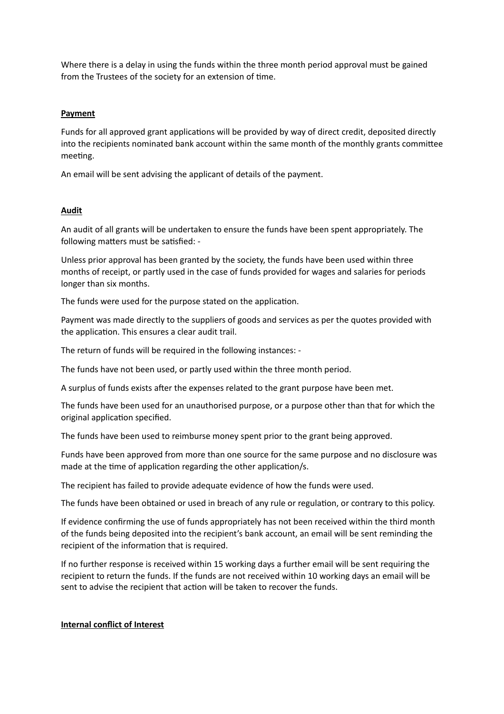Where there is a delay in using the funds within the three month period approval must be gained from the Trustees of the society for an extension of time.

### **Payment**

Funds for all approved grant applications will be provided by way of direct credit, deposited directly into the recipients nominated bank account within the same month of the monthly grants committee meeting.

An email will be sent advising the applicant of details of the payment.

## **Audit**

An audit of all grants will be undertaken to ensure the funds have been spent appropriately. The following matters must be satisfied: -

Unless prior approval has been granted by the society, the funds have been used within three months of receipt, or partly used in the case of funds provided for wages and salaries for periods longer than six months.

The funds were used for the purpose stated on the application.

Payment was made directly to the suppliers of goods and services as per the quotes provided with the application. This ensures a clear audit trail.

The return of funds will be required in the following instances: -

The funds have not been used, or partly used within the three month period.

A surplus of funds exists after the expenses related to the grant purpose have been met.

The funds have been used for an unauthorised purpose, or a purpose other than that for which the original application specified.

The funds have been used to reimburse money spent prior to the grant being approved.

Funds have been approved from more than one source for the same purpose and no disclosure was made at the time of application regarding the other application/s.

The recipient has failed to provide adequate evidence of how the funds were used.

The funds have been obtained or used in breach of any rule or regulation, or contrary to this policy.

If evidence confirming the use of funds appropriately has not been received within the third month of the funds being deposited into the recipient's bank account, an email will be sent reminding the recipient of the information that is required.

If no further response is received within 15 working days a further email will be sent requiring the recipient to return the funds. If the funds are not received within 10 working days an email will be sent to advise the recipient that action will be taken to recover the funds.

#### **Internal conflict of Interest**